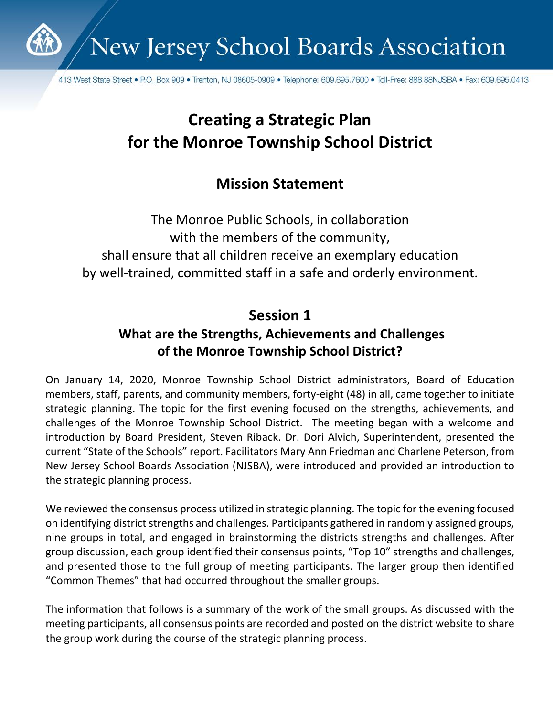

New Jersey School Boards Association

413 West State Street • P.O. Box 909 • Trenton, NJ 08605-0909 • Telephone: 609.695.7600 • Toll-Free: 888.88NJSBA • Fax: 609.695.0413

# **Creating a Strategic Plan for the Monroe Township School District**

## **Mission Statement**

The Monroe Public Schools, in collaboration with the members of the community, shall ensure that all children receive an exemplary education by well-trained, committed staff in a safe and orderly environment.

## **Session 1**

### **What are the Strengths, Achievements and Challenges of the Monroe Township School District?**

On January 14, 2020, Monroe Township School District administrators, Board of Education members, staff, parents, and community members, forty-eight (48) in all, came together to initiate strategic planning. The topic for the first evening focused on the strengths, achievements, and challenges of the Monroe Township School District. The meeting began with a welcome and introduction by Board President, Steven Riback. Dr. Dori Alvich, Superintendent, presented the current "State of the Schools" report. Facilitators Mary Ann Friedman and Charlene Peterson, from New Jersey School Boards Association (NJSBA), were introduced and provided an introduction to the strategic planning process.

We reviewed the consensus process utilized in strategic planning. The topic for the evening focused on identifying district strengths and challenges. Participants gathered in randomly assigned groups, nine groups in total, and engaged in brainstorming the districts strengths and challenges. After group discussion, each group identified their consensus points, "Top 10" strengths and challenges, and presented those to the full group of meeting participants. The larger group then identified "Common Themes" that had occurred throughout the smaller groups.

The information that follows is a summary of the work of the small groups. As discussed with the meeting participants, all consensus points are recorded and posted on the district website to share the group work during the course of the strategic planning process.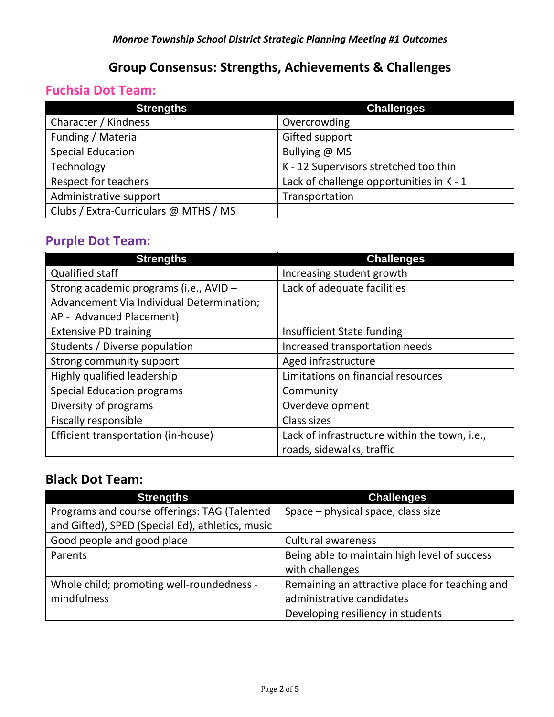### **Group Consensus: Strengths, Achievements & Challenges**

### **Fuchsia Dot Team:**

| <b>Strengths</b>                      | <b>Challenges</b>                        |
|---------------------------------------|------------------------------------------|
| Character / Kindness                  | Overcrowding                             |
| Funding / Material                    | Gifted support                           |
| <b>Special Education</b>              | Bullying @ MS                            |
| Technology                            | K - 12 Supervisors stretched too thin    |
| Respect for teachers                  | Lack of challenge opportunities in K - 1 |
| Administrative support                | Transportation                           |
| Clubs / Extra-Curriculars @ MTHS / MS |                                          |

### **Purple Dot Team:**

| <b>Strengths</b>                          | <b>Challenges</b>                             |
|-------------------------------------------|-----------------------------------------------|
| <b>Qualified staff</b>                    | Increasing student growth                     |
| Strong academic programs (i.e., AVID -    | Lack of adequate facilities                   |
| Advancement Via Individual Determination; |                                               |
| AP - Advanced Placement)                  |                                               |
| <b>Extensive PD training</b>              | Insufficient State funding                    |
| Students / Diverse population             | Increased transportation needs                |
| Strong community support                  | Aged infrastructure                           |
| Highly qualified leadership               | Limitations on financial resources            |
| <b>Special Education programs</b>         | Community                                     |
| Diversity of programs                     | Overdevelopment                               |
| <b>Fiscally responsible</b>               | Class sizes                                   |
| Efficient transportation (in-house)       | Lack of infrastructure within the town, i.e., |
|                                           | roads, sidewalks, traffic                     |

#### **Black Dot Team:**

| <b>Strengths</b>                                 | <b>Challenges</b>                              |
|--------------------------------------------------|------------------------------------------------|
| Programs and course offerings: TAG (Talented     | Space – physical space, class size             |
| and Gifted), SPED (Special Ed), athletics, music |                                                |
| Good people and good place                       | <b>Cultural awareness</b>                      |
| Parents                                          | Being able to maintain high level of success   |
|                                                  | with challenges                                |
| Whole child; promoting well-roundedness -        | Remaining an attractive place for teaching and |
| mindfulness                                      | administrative candidates                      |
|                                                  | Developing resiliency in students              |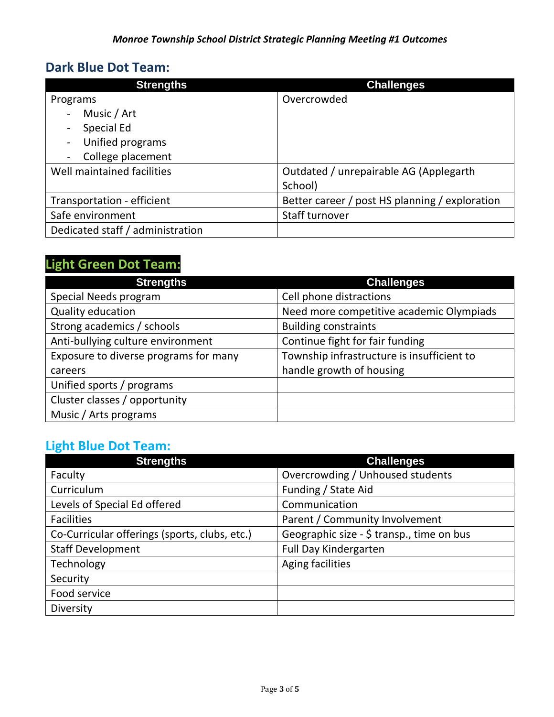### **Dark Blue Dot Team:**

| <b>Strengths</b>                             | <b>Challenges</b>                              |
|----------------------------------------------|------------------------------------------------|
| Programs                                     | Overcrowded                                    |
| Music / Art<br>$\frac{1}{2}$                 |                                                |
| Special Ed<br>$\overline{\phantom{a}}$       |                                                |
| Unified programs<br>$\overline{\phantom{a}}$ |                                                |
| College placement                            |                                                |
| Well maintained facilities                   | Outdated / unrepairable AG (Applegarth         |
|                                              | School)                                        |
| Transportation - efficient                   | Better career / post HS planning / exploration |
| Safe environment                             | Staff turnover                                 |
| Dedicated staff / administration             |                                                |

## **Light Green Dot Team:**

| <b>Strengths</b>                      | <b>Challenges</b>                          |
|---------------------------------------|--------------------------------------------|
| Special Needs program                 | Cell phone distractions                    |
| Quality education                     | Need more competitive academic Olympiads   |
| Strong academics / schools            | <b>Building constraints</b>                |
| Anti-bullying culture environment     | Continue fight for fair funding            |
| Exposure to diverse programs for many | Township infrastructure is insufficient to |
| careers                               | handle growth of housing                   |
| Unified sports / programs             |                                            |
| Cluster classes / opportunity         |                                            |
| Music / Arts programs                 |                                            |

### **Light Blue Dot Team:**

| <b>Strengths</b>                              | <b>Challenges</b>                         |
|-----------------------------------------------|-------------------------------------------|
| Faculty                                       | Overcrowding / Unhoused students          |
| Curriculum                                    | Funding / State Aid                       |
| Levels of Special Ed offered                  | Communication                             |
| <b>Facilities</b>                             | Parent / Community Involvement            |
| Co-Curricular offerings (sports, clubs, etc.) | Geographic size - \$ transp., time on bus |
| <b>Staff Development</b>                      | <b>Full Day Kindergarten</b>              |
| Technology                                    | Aging facilities                          |
| Security                                      |                                           |
| Food service                                  |                                           |
| Diversity                                     |                                           |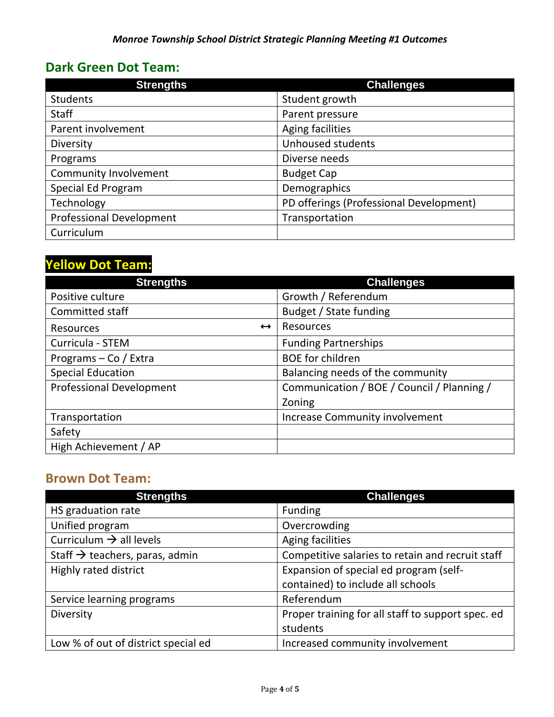### **Dark Green Dot Team:**

| <b>Strengths</b>                | <b>Challenges</b>                       |
|---------------------------------|-----------------------------------------|
| <b>Students</b>                 | Student growth                          |
| <b>Staff</b>                    | Parent pressure                         |
| Parent involvement              | Aging facilities                        |
| Diversity                       | Unhoused students                       |
| Programs                        | Diverse needs                           |
| <b>Community Involvement</b>    | <b>Budget Cap</b>                       |
| Special Ed Program              | Demographics                            |
| Technology                      | PD offerings (Professional Development) |
| <b>Professional Development</b> | Transportation                          |
| Curriculum                      |                                         |

## **Yellow Dot Team:**

| <b>Strengths</b>                | <b>Challenges</b>                          |
|---------------------------------|--------------------------------------------|
| Positive culture                | Growth / Referendum                        |
| Committed staff                 | Budget / State funding                     |
| $\leftrightarrow$<br>Resources  | <b>Resources</b>                           |
| Curricula - STEM                | <b>Funding Partnerships</b>                |
| Programs - Co / Extra           | <b>BOE</b> for children                    |
| <b>Special Education</b>        | Balancing needs of the community           |
| <b>Professional Development</b> | Communication / BOE / Council / Planning / |
|                                 | Zoning                                     |
| Transportation                  | <b>Increase Community involvement</b>      |
| Safety                          |                                            |
| High Achievement / AP           |                                            |

#### **Brown Dot Team:**

| <b>Strengths</b>                           | <b>Challenges</b>                                 |
|--------------------------------------------|---------------------------------------------------|
| HS graduation rate                         | <b>Funding</b>                                    |
| Unified program                            | Overcrowding                                      |
| Curriculum $\rightarrow$ all levels        | Aging facilities                                  |
| Staff $\rightarrow$ teachers, paras, admin | Competitive salaries to retain and recruit staff  |
| Highly rated district                      | Expansion of special ed program (self-            |
|                                            | contained) to include all schools                 |
| Service learning programs                  | Referendum                                        |
| Diversity                                  | Proper training for all staff to support spec. ed |
|                                            | students                                          |
| Low % of out of district special ed        | Increased community involvement                   |